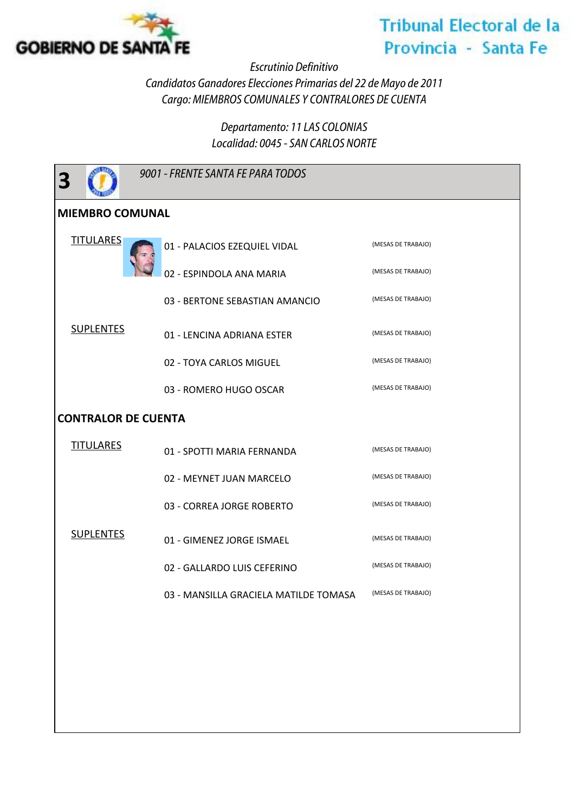

## **Tribunal Electoral de la** Provincia - Santa Fe

*Escrutinio Definitivo*

*Candidatos Ganadores Elecciones Primarias del 22 de Mayo de 2011 Cargo: MIEMBROS COMUNALES Y CONTRALORES DE CUENTA*

> *Departamento: 11 LAS COLONIAS Localidad: 0045 - SAN CARLOS NORTE*

| 3                          | 9001 - FRENTE SANTA FE PARA TODOS     |                    |  |
|----------------------------|---------------------------------------|--------------------|--|
| <b>MIEMBRO COMUNAL</b>     |                                       |                    |  |
| <b>TITULARES</b>           | 01 - PALACIOS EZEQUIEL VIDAL          | (MESAS DE TRABAJO) |  |
| <b>SUPLENTES</b>           | 02 - ESPINDOLA ANA MARIA              | (MESAS DE TRABAJO) |  |
|                            | 03 - BERTONE SEBASTIAN AMANCIO        | (MESAS DE TRABAJO) |  |
|                            | 01 - LENCINA ADRIANA ESTER            | (MESAS DE TRABAJO) |  |
|                            | 02 - TOYA CARLOS MIGUEL               | (MESAS DE TRABAJO) |  |
|                            | 03 - ROMERO HUGO OSCAR                | (MESAS DE TRABAJO) |  |
| <b>CONTRALOR DE CUENTA</b> |                                       |                    |  |
| <b>TITULARES</b>           | 01 - SPOTTI MARIA FERNANDA            | (MESAS DE TRABAJO) |  |
|                            | 02 - MEYNET JUAN MARCELO              | (MESAS DE TRABAJO) |  |
|                            | 03 - CORREA JORGE ROBERTO             | (MESAS DE TRABAJO) |  |
| <b>SUPLENTES</b>           | 01 - GIMENEZ JORGE ISMAEL             | (MESAS DE TRABAJO) |  |
|                            | 02 - GALLARDO LUIS CEFERINO           | (MESAS DE TRABAJO) |  |
|                            | 03 - MANSILLA GRACIELA MATILDE TOMASA | (MESAS DE TRABAJO) |  |
|                            |                                       |                    |  |
|                            |                                       |                    |  |
|                            |                                       |                    |  |
|                            |                                       |                    |  |